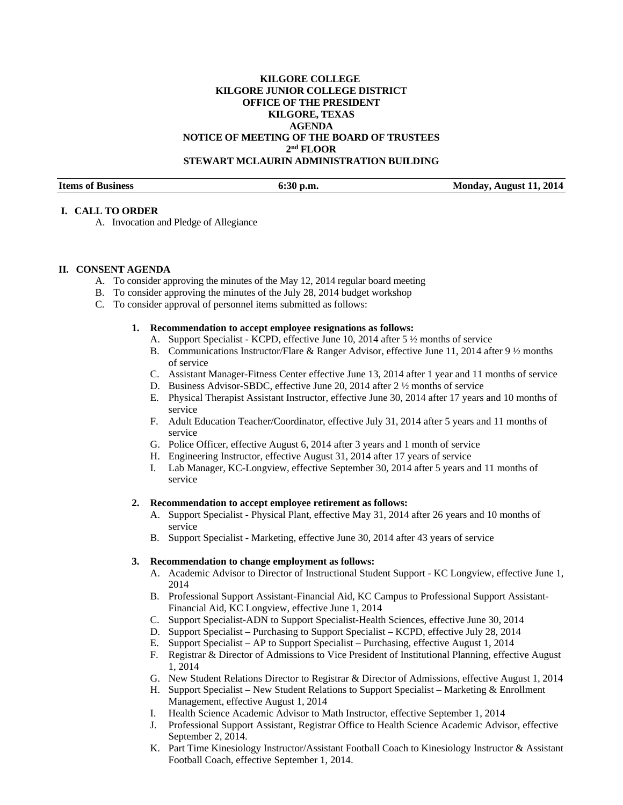## **KILGORE COLLEGE KILGORE JUNIOR COLLEGE DISTRICT OFFICE OF THE PRESIDENT KILGORE, TEXAS AGENDA NOTICE OF MEETING OF THE BOARD OF TRUSTEES 2nd FLOOR STEWART MCLAURIN ADMINISTRATION BUILDING**

**Items of Business 6:30 p.m. Monday, August 11, 2014** 

### **I. CALL TO ORDER**

A. Invocation and Pledge of Allegiance

#### **II. CONSENT AGENDA**

- A. To consider approving the minutes of the May 12, 2014 regular board meeting
- B. To consider approving the minutes of the July 28, 2014 budget workshop
- C. To consider approval of personnel items submitted as follows:

### **1. Recommendation to accept employee resignations as follows:**

- A. Support Specialist KCPD, effective June 10, 2014 after 5 ½ months of service
- B. Communications Instructor/Flare & Ranger Advisor, effective June 11, 2014 after 9 ½ months of service
- C. Assistant Manager-Fitness Center effective June 13, 2014 after 1 year and 11 months of service
- D. Business Advisor-SBDC, effective June 20, 2014 after 2 ½ months of service
- E. Physical Therapist Assistant Instructor, effective June 30, 2014 after 17 years and 10 months of service
- F. Adult Education Teacher/Coordinator, effective July 31, 2014 after 5 years and 11 months of service
- G. Police Officer, effective August 6, 2014 after 3 years and 1 month of service
- H. Engineering Instructor, effective August 31, 2014 after 17 years of service
- I. Lab Manager, KC-Longview, effective September 30, 2014 after 5 years and 11 months of service

### **2. Recommendation to accept employee retirement as follows:**

- A. Support Specialist Physical Plant, effective May 31, 2014 after 26 years and 10 months of service
- B. Support Specialist Marketing, effective June 30, 2014 after 43 years of service

#### **3. Recommendation to change employment as follows:**

- A. Academic Advisor to Director of Instructional Student Support KC Longview, effective June 1, 2014
- B. Professional Support Assistant-Financial Aid, KC Campus to Professional Support Assistant-Financial Aid, KC Longview, effective June 1, 2014
- C. Support Specialist-ADN to Support Specialist-Health Sciences, effective June 30, 2014
- D. Support Specialist Purchasing to Support Specialist KCPD, effective July 28, 2014
- E. Support Specialist AP to Support Specialist Purchasing, effective August 1, 2014
- F. Registrar & Director of Admissions to Vice President of Institutional Planning, effective August 1, 2014
- G. New Student Relations Director to Registrar & Director of Admissions, effective August 1, 2014
- H. Support Specialist New Student Relations to Support Specialist Marketing & Enrollment Management, effective August 1, 2014
- I. Health Science Academic Advisor to Math Instructor, effective September 1, 2014
- J. Professional Support Assistant, Registrar Office to Health Science Academic Advisor, effective September 2, 2014.
- K. Part Time Kinesiology Instructor/Assistant Football Coach to Kinesiology Instructor & Assistant Football Coach, effective September 1, 2014.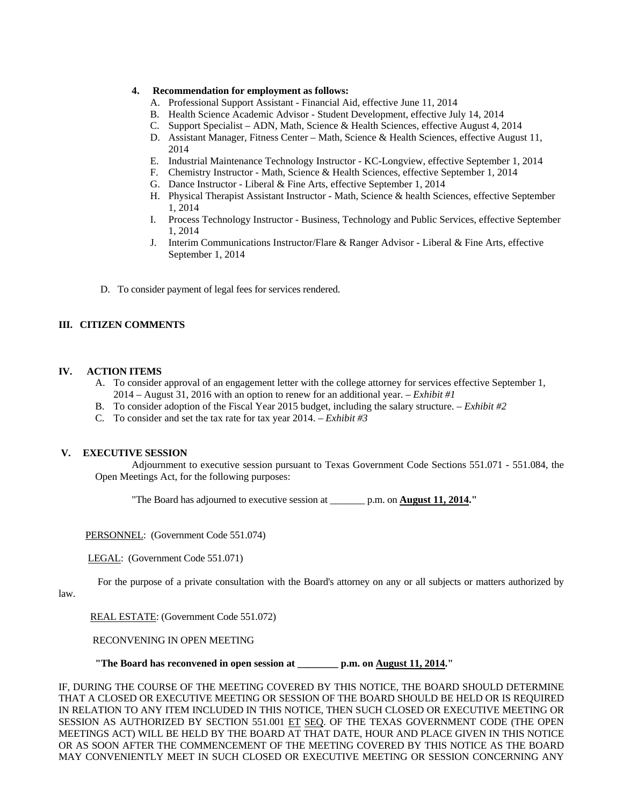### **4. Recommendation for employment as follows:**

- A. Professional Support Assistant Financial Aid, effective June 11, 2014
- B. Health Science Academic Advisor Student Development, effective July 14, 2014
- C. Support Specialist ADN, Math, Science & Health Sciences, effective August 4, 2014
- D. Assistant Manager, Fitness Center Math, Science & Health Sciences, effective August 11, 2014
- E. Industrial Maintenance Technology Instructor KC-Longview, effective September 1, 2014
- F. Chemistry Instructor Math, Science & Health Sciences, effective September 1, 2014
- G. Dance Instructor Liberal & Fine Arts, effective September 1, 2014
- H. Physical Therapist Assistant Instructor Math, Science & health Sciences, effective September 1, 2014
- I. Process Technology Instructor Business, Technology and Public Services, effective September 1, 2014
- J. Interim Communications Instructor/Flare & Ranger Advisor Liberal & Fine Arts, effective September 1, 2014
- D. To consider payment of legal fees for services rendered.

## **III. CITIZEN COMMENTS**

### **IV. ACTION ITEMS**

- A. To consider approval of an engagement letter with the college attorney for services effective September 1, 2014 – August 31, 2016 with an option to renew for an additional year. – *Exhibit #1*
- B. To consider adoption of the Fiscal Year 2015 budget, including the salary structure. *Exhibit #2*
- C. To consider and set the tax rate for tax year 2014. *Exhibit #3*

### **V. EXECUTIVE SESSION**

 Adjournment to executive session pursuant to Texas Government Code Sections 551.071 - 551.084, the Open Meetings Act, for the following purposes:

"The Board has adjourned to executive session at \_\_\_\_\_\_\_ p.m. on **August 11, 2014."** 

PERSONNEL: (Government Code 551.074)

LEGAL: (Government Code 551.071)

For the purpose of a private consultation with the Board's attorney on any or all subjects or matters authorized by

law.

REAL ESTATE: (Government Code 551.072)

RECONVENING IN OPEN MEETING

 **"The Board has reconvened in open session at \_\_\_\_\_\_\_\_ p.m. on August 11, 2014."** 

IF, DURING THE COURSE OF THE MEETING COVERED BY THIS NOTICE, THE BOARD SHOULD DETERMINE THAT A CLOSED OR EXECUTIVE MEETING OR SESSION OF THE BOARD SHOULD BE HELD OR IS REQUIRED IN RELATION TO ANY ITEM INCLUDED IN THIS NOTICE, THEN SUCH CLOSED OR EXECUTIVE MEETING OR SESSION AS AUTHORIZED BY SECTION 551.001 ET SEQ. OF THE TEXAS GOVERNMENT CODE (THE OPEN MEETINGS ACT) WILL BE HELD BY THE BOARD AT THAT DATE, HOUR AND PLACE GIVEN IN THIS NOTICE OR AS SOON AFTER THE COMMENCEMENT OF THE MEETING COVERED BY THIS NOTICE AS THE BOARD MAY CONVENIENTLY MEET IN SUCH CLOSED OR EXECUTIVE MEETING OR SESSION CONCERNING ANY